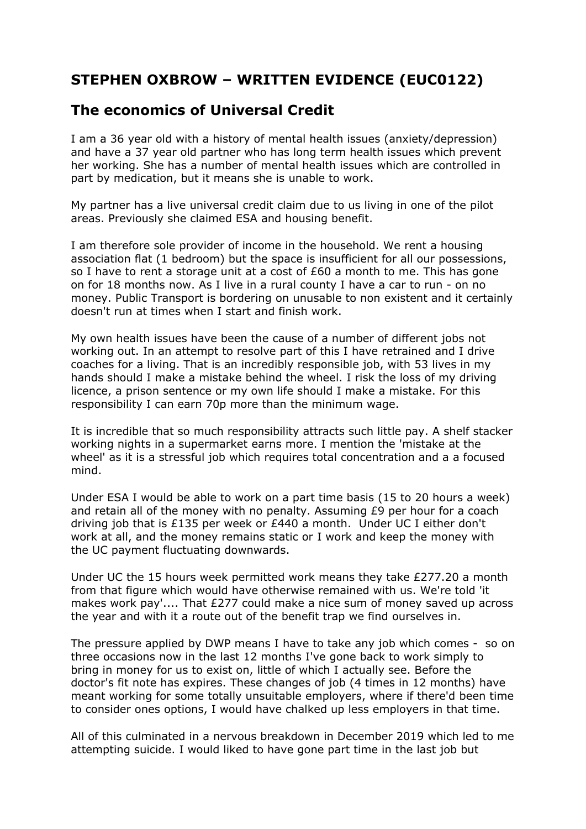## **STEPHEN OXBROW – WRITTEN EVIDENCE (EUC0122)**

## **The economics of Universal Credit**

I am a 36 year old with a history of mental health issues (anxiety/depression) and have a 37 year old partner who has long term health issues which prevent her working. She has a number of mental health issues which are controlled in part by medication, but it means she is unable to work.

My partner has a live universal credit claim due to us living in one of the pilot areas. Previously she claimed ESA and housing benefit.

I am therefore sole provider of income in the household. We rent a housing association flat (1 bedroom) but the space is insufficient for all our possessions, so I have to rent a storage unit at a cost of  $£60$  a month to me. This has gone on for 18 months now. As I live in a rural county I have a car to run - on no money. Public Transport is bordering on unusable to non existent and it certainly doesn't run at times when I start and finish work.

My own health issues have been the cause of a number of different jobs not working out. In an attempt to resolve part of this I have retrained and I drive coaches for a living. That is an incredibly responsible job, with 53 lives in my hands should I make a mistake behind the wheel. I risk the loss of my driving licence, a prison sentence or my own life should I make a mistake. For this responsibility I can earn 70p more than the minimum wage.

It is incredible that so much responsibility attracts such little pay. A shelf stacker working nights in a supermarket earns more. I mention the 'mistake at the wheel' as it is a stressful job which requires total concentration and a a focused mind.

Under ESA I would be able to work on a part time basis (15 to 20 hours a week) and retain all of the money with no penalty. Assuming £9 per hour for a coach driving job that is £135 per week or £440 a month. Under UC I either don't work at all, and the money remains static or I work and keep the money with the UC payment fluctuating downwards.

Under UC the 15 hours week permitted work means they take £277.20 a month from that figure which would have otherwise remained with us. We're told 'it makes work pay'.... That £277 could make a nice sum of money saved up across the year and with it a route out of the benefit trap we find ourselves in.

The pressure applied by DWP means I have to take any job which comes - so on three occasions now in the last 12 months I've gone back to work simply to bring in money for us to exist on, little of which I actually see. Before the doctor's fit note has expires. These changes of job (4 times in 12 months) have meant working for some totally unsuitable employers, where if there'd been time to consider ones options, I would have chalked up less employers in that time.

All of this culminated in a nervous breakdown in December 2019 which led to me attempting suicide. I would liked to have gone part time in the last job but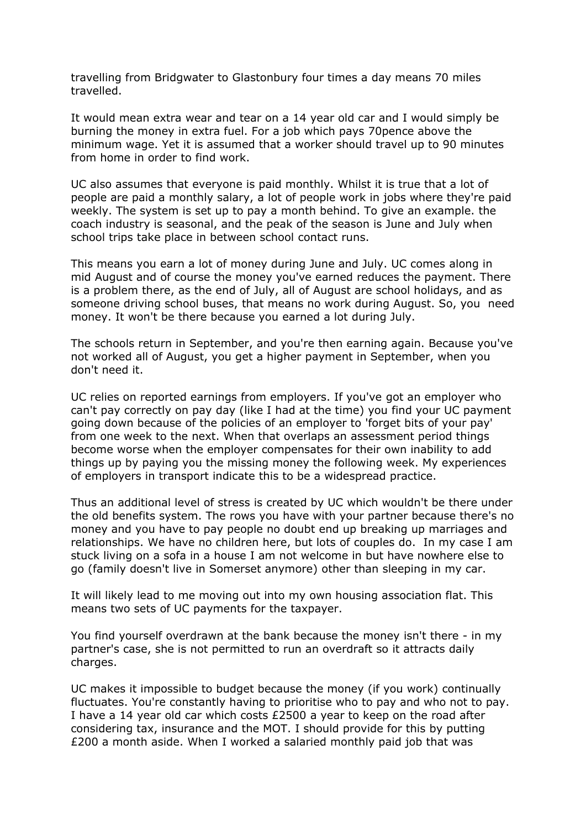travelling from Bridgwater to Glastonbury four times a day means 70 miles travelled.

It would mean extra wear and tear on a 14 year old car and I would simply be burning the money in extra fuel. For a job which pays 70pence above the minimum wage. Yet it is assumed that a worker should travel up to 90 minutes from home in order to find work.

UC also assumes that everyone is paid monthly. Whilst it is true that a lot of people are paid a monthly salary, a lot of people work in jobs where they're paid weekly. The system is set up to pay a month behind. To give an example. the coach industry is seasonal, and the peak of the season is June and July when school trips take place in between school contact runs.

This means you earn a lot of money during June and July. UC comes along in mid August and of course the money you've earned reduces the payment. There is a problem there, as the end of July, all of August are school holidays, and as someone driving school buses, that means no work during August. So, you need money. It won't be there because you earned a lot during July.

The schools return in September, and you're then earning again. Because you've not worked all of August, you get a higher payment in September, when you don't need it.

UC relies on reported earnings from employers. If you've got an employer who can't pay correctly on pay day (like I had at the time) you find your UC payment going down because of the policies of an employer to 'forget bits of your pay' from one week to the next. When that overlaps an assessment period things become worse when the employer compensates for their own inability to add things up by paying you the missing money the following week. My experiences of employers in transport indicate this to be a widespread practice.

Thus an additional level of stress is created by UC which wouldn't be there under the old benefits system. The rows you have with your partner because there's no money and you have to pay people no doubt end up breaking up marriages and relationships. We have no children here, but lots of couples do. In my case I am stuck living on a sofa in a house I am not welcome in but have nowhere else to go (family doesn't live in Somerset anymore) other than sleeping in my car.

It will likely lead to me moving out into my own housing association flat. This means two sets of UC payments for the taxpayer.

You find yourself overdrawn at the bank because the money isn't there - in my partner's case, she is not permitted to run an overdraft so it attracts daily charges.

UC makes it impossible to budget because the money (if you work) continually fluctuates. You're constantly having to prioritise who to pay and who not to pay. I have a 14 year old car which costs £2500 a year to keep on the road after considering tax, insurance and the MOT. I should provide for this by putting £200 a month aside. When I worked a salaried monthly paid job that was